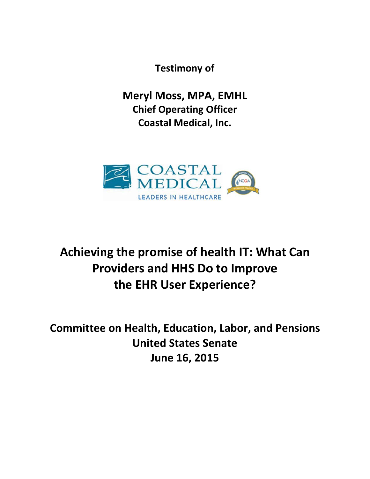**Testimony of** 

**Meryl Moss, MPA, EMHL Chief Operating Officer Coastal Medical, Inc.** 



# Achieving the promise of health IT: What Can **Providers and HHS Do to Improve** the EHR User Experience?

**Committee on Health, Education, Labor, and Pensions United States Senate** June 16, 2015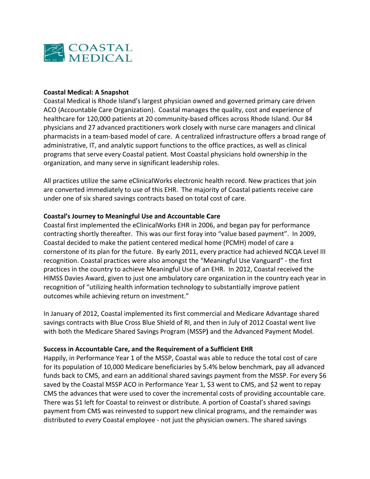

#### **Coastal Medical: A Snapshot**

Coastal Medical is Rhode Island's largest physician owned and governed primary care driven ACO (Accountable Care Organization). Coastal manages the quality, cost and experience of healthcare for 120,000 patients at 20 community-based offices across Rhode Island. Our 84 physicians and 27 advanced practitioners work closely with nurse care managers and clinical pharmacists in a team-based model of care. A centralized infrastructure offers a broad range of administrative, IT, and analytic support functions to the office practices, as well as clinical programs that serve every Coastal patient. Most Coastal physicians hold ownership in the organization, and many serve in significant leadership roles.

All practices utilize the same eClinicalWorks electronic health record. New practices that join are converted immediately to use of this EHR. The majority of Coastal patients receive care under one of six shared savings contracts based on total cost of care.

#### Coastal's Journey to Meaningful Use and Accountable Care

Coastal first implemented the eClinicalWorks EHR in 2006, and began pay for performance contracting shortly thereafter. This was our first foray into "value based payment". In 2009, Coastal decided to make the patient centered medical home (PCMH) model of care a cornerstone of its plan for the future. By early 2011, every practice had achieved NCQA Level III recognition. Coastal practices were also amongst the "Meaningful Use Vanguard" - the first practices in the country to achieve Meaningful Use of an EHR. In 2012, Coastal received the HIMSS Davies Award, given to just one ambulatory care organization in the country each year in recognition of "utilizing health information technology to substantially improve patient outcomes while achieving return on investment."

In January of 2012, Coastal implemented its first commercial and Medicare Advantage shared savings contracts with Blue Cross Blue Shield of RI, and then in July of 2012 Coastal went live with both the Medicare Shared Savings Program (MSSP) and the Advanced Payment Model.

#### Success in Accountable Care, and the Requirement of a Sufficient EHR

Happily, in Performance Year 1 of the MSSP, Coastal was able to reduce the total cost of care for its population of 10,000 Medicare beneficiaries by 5.4% below benchmark, pay all advanced funds back to CMS, and earn an additional shared savings payment from the MSSP. For every \$6 saved by the Coastal MSSP ACO in Performance Year 1, \$3 went to CMS, and \$2 went to repay CMS the advances that were used to cover the incremental costs of providing accountable care. There was \$1 left for Coastal to reinvest or distribute. A portion of Coastal's shared savings payment from CMS was reinvested to support new clinical programs, and the remainder was distributed to every Coastal employee - not just the physician owners. The shared savings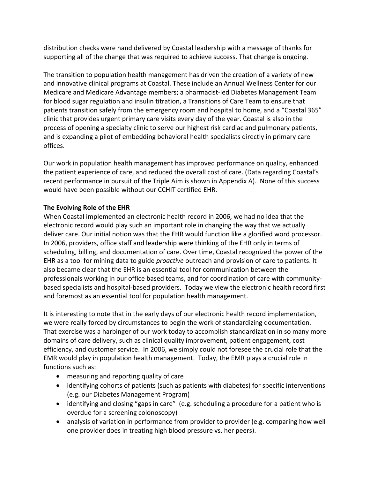distribution checks were hand delivered by Coastal leadership with a message of thanks for supporting all of the change that was required to achieve success. That change is ongoing.

The transition to population health management has driven the creation of a variety of new and innovative clinical programs at Coastal. These include an Annual Wellness Center for our Medicare and Medicare Advantage members; a pharmacist‐led Diabetes Management Team for blood sugar regulation and insulin titration, a Transitions of Care Team to ensure that patients transition safely from the emergency room and hospital to home, and a "Coastal 365" clinic that provides urgent primary care visits every day of the year. Coastal is also in the process of opening a specialty clinic to serve our highest risk cardiac and pulmonary patients, and is expanding a pilot of embedding behavioral health specialists directly in primary care offices.

Our work in population health management has improved performance on quality, enhanced the patient experience of care, and reduced the overall cost of care. (Data regarding Coastal's recent performance in pursuit of the Triple Aim is shown in Appendix A). None of this success would have been possible without our CCHIT certified EHR.

## **The Evolving Role of the EHR**

When Coastal implemented an electronic health record in 2006, we had no idea that the electronic record would play such an important role in changing the way that we actually deliver care. Our initial notion was that the EHR would function like a glorified word processor. In 2006, providers, office staff and leadership were thinking of the EHR only in terms of scheduling, billing, and documentation of care. Over time, Coastal recognized the power of the EHR as a tool for mining data to guide *proactive* outreach and provision of care to patients. It also became clear that the EHR is an essential tool for communication between the professionals working in our office based teams, and for coordination of care with community‐ based specialists and hospital‐based providers. Today we view the electronic health record first and foremost as an essential tool for population health management.

It is interesting to note that in the early days of our electronic health record implementation, we were really forced by circumstances to begin the work of standardizing documentation. That exercise was a harbinger of our work today to accomplish standardization in so many more domains of care delivery, such as clinical quality improvement, patient engagement, cost efficiency, and customer service. In 2006, we simply could not foresee the crucial role that the EMR would play in population health management. Today, the EMR plays a crucial role in functions such as:

- measuring and reporting quality of care
- identifying cohorts of patients (such as patients with diabetes) for specific interventions (e.g. our Diabetes Management Program)
- identifying and closing "gaps in care" (e.g. scheduling a procedure for a patient who is overdue for a screening colonoscopy)
- analysis of variation in performance from provider to provider (e.g. comparing how well one provider does in treating high blood pressure vs. her peers).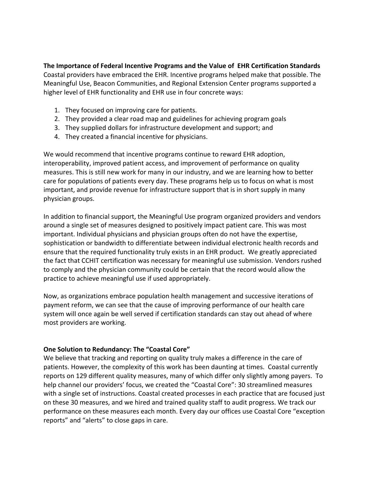## **The Importance of Federal Incentive Programs and the Value of EHR Certification Standards**

Coastal providers have embraced the EHR. Incentive programs helped make that possible. The Meaningful Use, Beacon Communities, and Regional Extension Center programs supported a higher level of EHR functionality and EHR use in four concrete ways:

- 1. They focused on improving care for patients.
- 2. They provided a clear road map and guidelines for achieving program goals
- 3. They supplied dollars for infrastructure development and support; and
- 4. They created a financial incentive for physicians.

We would recommend that incentive programs continue to reward EHR adoption, interoperability, improved patient access, and improvement of performance on quality measures. This is still new work for many in our industry, and we are learning how to better care for populations of patients every day. These programs help us to focus on what is most important, and provide revenue for infrastructure support that is in short supply in many physician groups.

In addition to financial support, the Meaningful Use program organized providers and vendors around a single set of measures designed to positively impact patient care. This was most important. Individual physicians and physician groups often do not have the expertise, sophistication or bandwidth to differentiate between individual electronic health records and ensure that the required functionality truly exists in an EHR product. We greatly appreciated the fact that CCHIT certification was necessary for meaningful use submission. Vendors rushed to comply and the physician community could be certain that the record would allow the practice to achieve meaningful use if used appropriately.

Now, as organizations embrace population health management and successive iterations of payment reform, we can see that the cause of improving performance of our health care system will once again be well served if certification standards can stay out ahead of where most providers are working.

## **One Solution to Redundancy: The "Coastal Core"**

We believe that tracking and reporting on quality truly makes a difference in the care of patients. However, the complexity of this work has been daunting at times. Coastal currently reports on 129 different quality measures, many of which differ only slightly among payers. To help channel our providers' focus, we created the "Coastal Core": 30 streamlined measures with a single set of instructions. Coastal created processes in each practice that are focused just on these 30 measures, and we hired and trained quality staff to audit progress. We track our performance on these measures each month. Every day our offices use Coastal Core "exception reports" and "alerts" to close gaps in care.